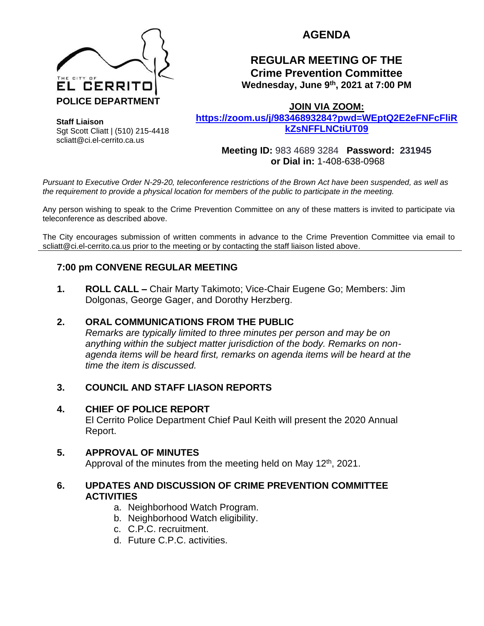

Sgt Scott Cliatt | (510) 215-4418 scliatt@ci.el-cerrito.ca.us

**Staff Liaison**

# **AGENDA**

## **REGULAR MEETING OF THE Crime Prevention Committee Wednesday, June 9th, 2021 at 7:00 PM**

**JOIN VIA ZOOM:** 

**[https://zoom.us/j/98346893284?pwd=WEptQ2E2eFNFcFliR](https://zoom.us/j/98346893284?pwd=WEptQ2E2eFNFcFliRkZsNFFLNCtiUT09) [kZsNFFLNCtiUT09](https://zoom.us/j/98346893284?pwd=WEptQ2E2eFNFcFliRkZsNFFLNCtiUT09)**

**Meeting ID:** 983 4689 3284 **Password: 231945 or Dial in:** 1-408-638-0968

*Pursuant to Executive Order N-29-20, teleconference restrictions of the Brown Act have been suspended, as well as the requirement to provide a physical location for members of the public to participate in the meeting.*

Any person wishing to speak to the Crime Prevention Committee on any of these matters is invited to participate via teleconference as described above.

The City encourages submission of written comments in advance to the Crime Prevention Committee via email to scliatt@ci.el-cerrito.ca.us prior to the meeting or by contacting the staff liaison listed above.

## **7:00 pm CONVENE REGULAR MEETING**

**1. ROLL CALL –** Chair Marty Takimoto; Vice-Chair Eugene Go; Members: Jim Dolgonas, George Gager, and Dorothy Herzberg.

#### **2. ORAL COMMUNICATIONS FROM THE PUBLIC**

*Remarks are typically limited to three minutes per person and may be on anything within the subject matter jurisdiction of the body. Remarks on nonagenda items will be heard first, remarks on agenda items will be heard at the time the item is discussed.* 

## **3. COUNCIL AND STAFF LIASON REPORTS**

#### **4. CHIEF OF POLICE REPORT**

El Cerrito Police Department Chief Paul Keith will present the 2020 Annual Report.

#### **5. APPROVAL OF MINUTES**

Approval of the minutes from the meeting held on May 12<sup>th</sup>, 2021.

#### **6. UPDATES AND DISCUSSION OF CRIME PREVENTION COMMITTEE ACTIVITIES**

- a. Neighborhood Watch Program.
- b. Neighborhood Watch eligibility.
- c. C.P.C. recruitment.
- d. Future C.P.C. activities.